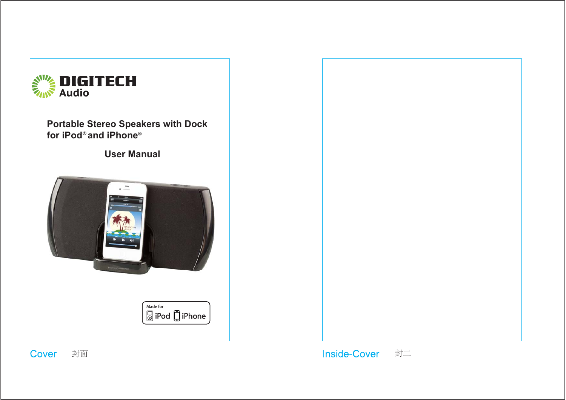

Cover 封面



Inside-Cover 封二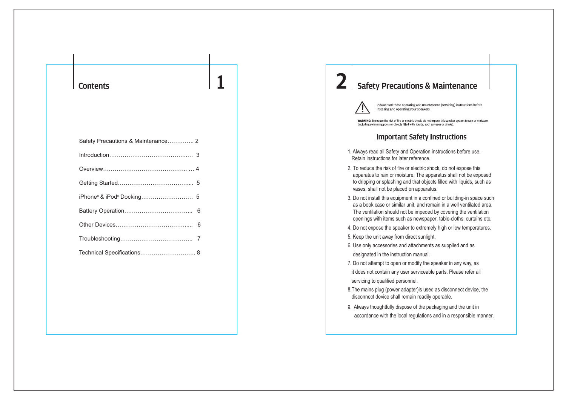#### **Contents**

| Safety Precautions & Maintenance 2 |  |
|------------------------------------|--|
|                                    |  |
|                                    |  |
|                                    |  |
|                                    |  |
|                                    |  |
|                                    |  |
|                                    |  |
| Technical Specifications 8         |  |
|                                    |  |

## **Safety Precautions & Maintenance**



Please read these operating and maintenance (servicing) instructions before installing and operating your speakers.

WARNING: To reduce the risk of fire or electric shock, do not expose this speaker system to rain or moisture (including swimming pools or objects filled with liquids, such as vases or drinks)

#### **Important Safety Instructions**

- 1. Always read all Safety and Operation instructions before use. Retain instructions for later reference.
- 2. To reduce the risk of fire or electric shock, do not expose this apparatus to rain or moisture. The apparatus shall not be exposed to dripping or splashing and that objects filled with liquids, such as vases, shall not be placed on apparatus.
- 3. Do not install this equipment in a confined or building-in space such as a book case or similar unit, and remain in a well ventilated area. The ventilation should not be impeded by covering the ventilation openings with items such as newspaper, table-cloths, curtains etc.
- 4. Do not expose the speaker to extremely high or low temperatures.
- 5. Keep the unit away from direct sunlight.
- 6. Use only accessories and attachments as supplied and as designated in the instruction manual.
- 7. Do not attempt to open or modify the speaker in any way, as it does not contain any user serviceable parts. Please refer all servicing to qualified personnel.
- 8.The mains plug (power adapter)is used as disconnect device, the disconnect device shall remain readily operable.
- 9. Always thoughtfully dispose of the packaging and the unit in accordance with the local regulations and in a responsible manner.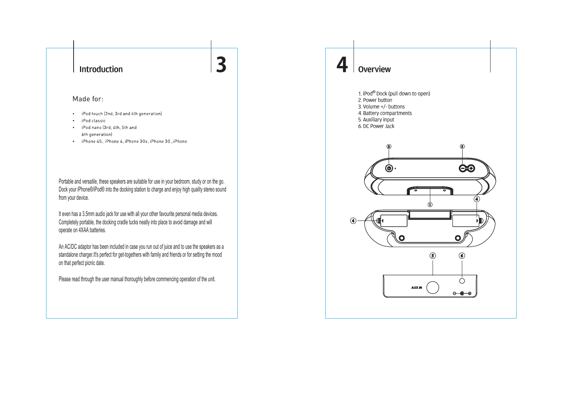### **Introduction**

#### Made for:

- iPod touch (2nd, 3rd and 4th generation)  $\bullet$
- iPod classic  $\bullet$
- iPod nano (3rd, 4th, 5th and  $\bullet$ 6th generation)
- iPhone 4S, iPhone 4, iPhone 3Gs, iPhone 3G, iPhone

Portable and versatile, these speakers are suitable for use in your bedroom, study or on the go. Dock your iPhone®/iPod® into the docking station to charge and enjoy high quality stereo sound from your device.

3

It even has a 3.5mm audio jack for use with all your other favourite personal media devices. Completely portable, the docking cradle tucks neatly into place to avoid damage and will operate on 4XAA batteries.

An AC/DC adaptor has been included in case you run out of juice and to use the speakers as a standalone charger.It's perfect for get-togethers with family and friends or for setting the mood on that perfect picnic date.

Please read through the user manual thoroughly before commencing operation of the unit.

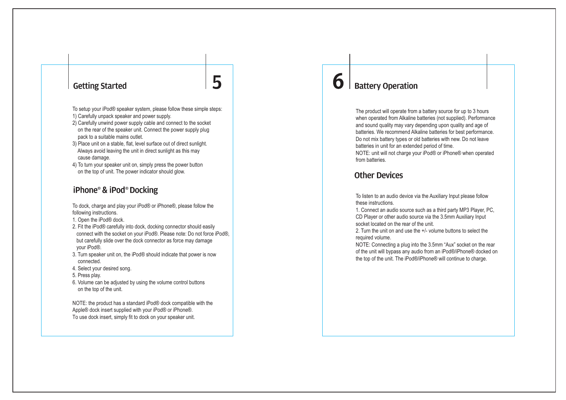### **Getting Started**

To setup your iPod® speaker system, please follow these simple steps: 1) Carefully unpack speaker and power supply.

5

- 2) Carefully unwind power supply cable and connect to the socket on the rear of the speaker unit. Connect the power supply plug pack to a suitable mains outlet.
- 3) Place unit on a stable, flat, level surface out of direct sunlight. Always avoid leaving the unit in direct sunlight as this may cause damage.
- 4) To turn your speaker unit on, simply press the power button on the top of unit. The power indicator should glow.

### iPhone<sup>®</sup> & iPod<sup>®</sup> Docking

To dock, charge and play your iPod® or iPhone®, please follow the following instructions.

- 1. Open the iPod® dock.
- 2. Fit the iPod® carefully into dock, docking connector should easily connect with the socket on your iPod®. Please note: Do not force iPod®, but carefully slide over the dock connector as force may damage your iPod®.
- 3. Turn speaker unit on, the iPod® should indicate that power is now connected.
- 4. Select your desired song.
- 5. Press play.
- 6. Volume can be adjusted by using the volume control buttons on the top of the unit.

NOTE: the product has a standard iPod® dock compatible with the Apple® dock insert supplied with your iPod® or iPhone®. To use dock insert, simply fit to dock on your speaker unit.

# **Battery Operation**

6

The product will operate from a battery source for up to 3 hours when operated from Alkaline batteries (not supplied). Performance and sound quality may vary depending upon quality and age of batteries. We recommend Alkaline batteries for best performance. Do not mix battery types or old batteries with new. Do not leave batteries in unit for an extended period of time. NOTE: unit will not charge your iPod® or iPhone® when operated from batteries.

### Other Devices

To listen to an audio device via the Auxiliary Input please follow these instructions.

1. Connect an audio source such as a third party MP3 Player, PC, CD Player or other audio source via the 3.5mm Auxiliary Input socket located on the rear of the unit.

2. Turn the unit on and use the +/- volume buttons to select the required volume.

NOTE: Connecting a plug into the 3.5mm "Aux" socket on the rear of the unit will bypass any audio from an iPod®/iPhone® docked on the top of the unit. The iPod®/iPhone® will continue to charge.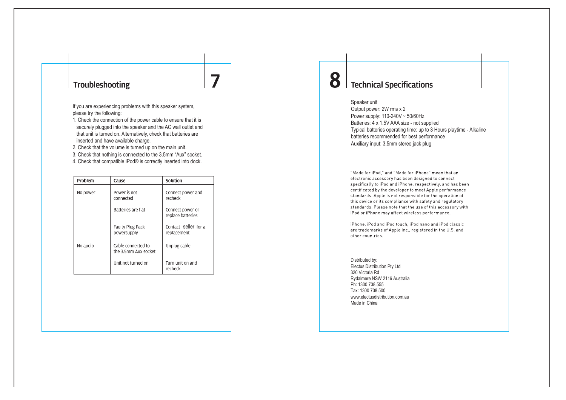#### Troubleshooting

If you are experiencing problems with this speaker system, please try the following:

1. Check the connection of the power cable to ensure that it is securely plugged into the speaker and the AC wall outlet and that unit is turned on. Alternatively, check that batteries are inserted and have available charge.

7

2. Check that the volume is turned up on the main unit.

3. Check that nothing is connected to the 3.5mm "Aux" socket.

4. Check that compatible iPod® is correctly inserted into dock.

| Problem                                                | Cause                                  | Solution                              |  |
|--------------------------------------------------------|----------------------------------------|---------------------------------------|--|
| No power                                               | Power is not<br>connected              | Connect power and<br>recheck          |  |
|                                                        | Batteries are flat                     | Connect power or<br>replace batteries |  |
|                                                        | <b>Faulty Plug Pack</b><br>powersupply | Contact seller for a<br>replacement   |  |
| No audio<br>Cable connected to<br>the 3.5mm Aux socket |                                        | Unplug cable                          |  |
| Unit not turned on                                     |                                        | Turn unit on and<br>recheck           |  |

## **Technical Specifications**

Speaker unit

8

Output power: 2W rms x 2 Power supply: 110-240V ~ 50/60Hz Batteries: 4 x 1.5V AAA size - not supplied Typical batteries operating time: up to 3 Hours playtime - Alkaline batteries recommended for best performance Auxiliary input: 3.5mm stereo jack plug

"Made for iPod," and "Made for iPhone" mean that an electronic accessory has been designed to connect specifically to iPod and iPhone, respectively, and has been certificated by the developer to meet Apple performance standards. Apple is not responsible for the operation of this device or its compliance with safety and regulatory standards. Please note that the use of this accessory with iPod or iPhone may affect wireless performance.

iPhone, iPod and iPod touch, iPod nano and iPod classic are trademarks of Apple Inc., registered in the U.S. and other countries.

Distributed by: Electus Distribution Pty Ltd 320 Victoria Rd Rydalmere NSW 2116 Australia Ph: 1300 738 555 Tax: 1300 738 500www.electusdistribution.com.auMade in China